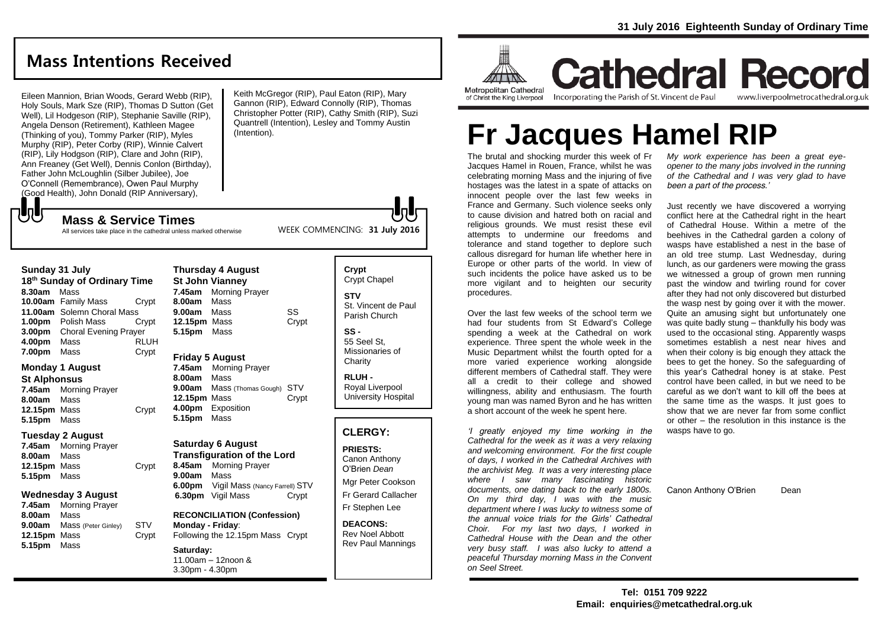# **Mass Intentions Received**

Eileen Mannion, Brian Woods, Gerard Webb (RIP), Holy Souls, Mark Sze (RIP), Thomas D Sutton (Get Well), Lil Hodgeson (RIP), Stephanie Saville (RIP), Angela Denson (Retirement), Kathleen Magee (Thinking of you), Tommy Parker (RIP), Myles Murphy (RIP), Peter Corby (RIP), Winnie Calvert (RIP), Lily Hodgson (RIP), Clare and John (RIP), Ann Freaney (Get Well), Dennis Conlon (Birthday), Father John McLoughlin (Silber Jubilee), Joe O'Connell (Remembrance), Owen Paul Murphy (Good Health), John Donald (RIP Anniversary),

**Mass & Service Times**

Keith McGregor (RIP), Paul Eaton (RIP), Mary Gannon (RIP), Edward Connolly (RIP), Thomas Christopher Potter (RIP), Cathy Smith (RIP), Suzi Quantrell (Intention), Lesley and Tommy Austin (Intention).

WEEK COMMENCING: **31 July 2016**

All services take place in the cathedral unless marked otherwise

### **Sunday 31 July**

もし

**18 th Sunday of Ordinary Time 8.30am** Mass **10.00am** Family Mass Crypt **11.00am** Solemn Choral Mass **1.00pm** Polish Mass Crypt **3.00pm** Choral Evening Prayer **4.00pm** Mass RLUH **7.00pm** Mass Crypt

### **Monday 1 August**

**St Alphonsus**

**5.15pm** Mass

**7.45am** Morning Prayer **8.00am** Mass 12.15pm Mass **Crypt** 

### **Tuesday 2 August**

**7.45am** Morning Prayer **8.00am** Mass **12.15pm** Mass Crypt **5.15pm** Mass

### **Wednesday 3 August**

**7.45am** Morning Prayer **8.00am** Mass **9.00am** Mass (Peter Ginley) STV **12.15pm** Mass Crypt **5.15pm** Mass

### **Thursday 4 August St John Vianney 7.45am** Morning Prayer **8.00am** Mass **9.00am** Mass SS **12.15pm** Mass Crypt **5.15pm** Mass

### **Friday 5 August**

**7.45am** Morning Prayer **8.00am** Mass **9.00am** Mass (Thomas Gough) STV **12.15pm** Mass Crypt **4.00pm** Exposition **5.15pm** Mass

### **Saturday 6 August**

**Transfiguration of the Lord 8.45am** Morning Prayer **9.00am** Mass **6.00pm** Vigil Mass (Nancy Farrell) STV **6.30pm** Vigil Mass Crypt

#### **RECONCILIATION (Confession) Monday - Friday**: Following the 12.15pm Mass Crypt

### **Saturday:**

11.00am – 12noon & 3.30pm - 4.30pm

### **Crypt**  Crypt Chapel **STV** St. Vincent de Paul Parish Church **SS -**

55 Seel St, Missionaries of **Charity** 

**RLUH -** Royal Liverpool University Hospital

### **CLERGY:**

**PRIESTS:** Canon Anthony O'Brien *Dean*

Mgr Peter Cookson Fr Gerard Callacher Fr Stephen Lee

**DEACONS:** Rev Noel Abbott Rev Paul Mannings



**Cathedral Record** of Christ the King Liverpool

Incorporating the Parish of St. Vincent de Paul

www.liverpoolmetrocathedral.org.uk

# **Fr Jacques Hamel RIP**

The brutal and shocking murder this week of Fr Jacques Hamel in Rouen, France, whilst he was celebrating morning Mass and the injuring of five hostages was the latest in a spate of attacks on innocent people over the last few weeks in France and Germany. Such violence seeks only to cause division and hatred both on racial and religious grounds. We must resist these evil attempts to undermine our freedoms and tolerance and stand together to deplore such callous disregard for human life whether here in Europe or other parts of the world. In view of such incidents the police have asked us to be more vigilant and to heighten our security procedures.

Over the last few weeks of the school term we had four students from St Edward's College spending a week at the Cathedral on work experience. Three spent the whole week in the Music Department whilst the fourth opted for a more varied experience working alongside different members of Cathedral staff. They were all a credit to their college and showed willingness, ability and enthusiasm. The fourth young man was named Byron and he has written a short account of the week he spent here.

*'I greatly enjoyed my time working in the Cathedral for the week as it was a very relaxing and welcoming environment. For the first couple of days, I worked in the Cathedral Archives with the archivist Meg. It was a very interesting place where I saw many fascinating historic documents, one dating back to the early 1800s. On my third day, I was with the music department where I was lucky to witness some of the annual voice trials for the Girls' Cathedral Choir. For my last two days, I worked in Cathedral House with the Dean and the other very busy staff. I was also lucky to attend a peaceful Thursday morning Mass in the Convent on Seel Street.* 

*My work experience has been a great eyeopener to the many jobs involved in the running of the Cathedral and I was very glad to have been a part of the process.'*

Just recently we have discovered a worrying conflict here at the Cathedral right in the heart of Cathedral House. Within a metre of the beehives in the Cathedral garden a colony of wasps have established a nest in the base of an old tree stump. Last Wednesday, during lunch, as our gardeners were mowing the grass we witnessed a group of grown men running past the window and twirling round for cover after they had not only discovered but disturbed the wasp nest by going over it with the mower. Quite an amusing sight but unfortunately one was quite badly stung – thankfully his body was used to the occasional sting. Apparently wasps sometimes establish a nest near hives and when their colony is big enough they attack the bees to get the honey. So the safeguarding of this year's Cathedral honey is at stake. Pest control have been called, in but we need to be careful as we don't want to kill off the bees at the same time as the wasps. It just goes to show that we are never far from some conflict or other – the resolution in this instance is the wasps have to go.

Canon Anthony O'Brien Dean